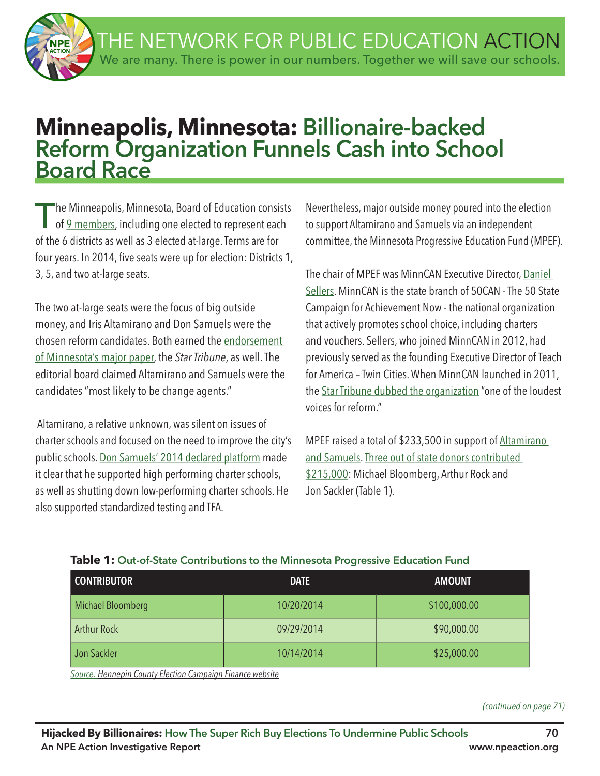THE NETWORK FOR PUBLIC EDUCATION ACTION We are many. There is power in our numbers. Together we will save our schools.

# **Minneapolis, Minnesota: Billionaire-backed Reform Organization Funnels Cash into School Board Race**

The Minneapolis, Minnesota, Board of Education consists<br>
of <u>9 members</u>, including one elected to represent each of the 6 districts as well as 3 elected at-large. Terms are for four years. In 2014, five seats were up for election: Districts 1, 3, 5, and two at-large seats.

The two at-large seats were the focus of big outside money, and Iris Altamirano and Don Samuels were the chosen reform candidates. Both earned the endorsement of Minnesota's major paper, the *Star Tribune*, as well. The editorial board claimed Altamirano and Samuels were the candidates "most likely to be change agents."

 Altamirano, a relative unknown, was silent on issues of charter schools and focused on the need to improve the city's public schools. Don Samuels' 2014 declared platform made it clear that he supported high performing charter schools, as well as shutting down low-performing charter schools. He also supported standardized testing and TFA.

Nevertheless, major outside money poured into the election to support Altamirano and Samuels via an independent committee, the Minnesota Progressive Education Fund (MPEF).

The chair of MPEF was MinnCAN Executive Director, Daniel Sellers. MinnCAN is the state branch of 50CAN - The 50 State Campaign for Achievement Now - the national organization that actively promotes school choice, including charters and vouchers. Sellers, who joined MinnCAN in 2012, had previously served as the founding Executive Director of Teach for America – Twin Cities. When MinnCAN launched in 2011, the Star Tribune dubbed the organization "one of the loudest voices for reform."

MPEF raised a total of \$233,500 in support of Altamirano and Samuels. Three out of state donors contributed \$215,000: Michael Bloomberg, Arthur Rock and Jon Sackler (Table 1).

| <b>CONTRIBUTOR</b> | <b>DATE</b> | <b>AMOUNT</b> |
|--------------------|-------------|---------------|
| Michael Bloomberg  | 10/20/2014  | \$100,000.00  |
| <b>Arthur Rock</b> | 09/29/2014  | \$90,000.00   |
| Jon Sackler        | 10/14/2014  | \$25,000.00   |

## **Table 1: Out-of-State Contributions to the Minnesota Progressive Education Fund**

*Source: Hennepin County Election Campaign Finance website*

*(continued on page 71)*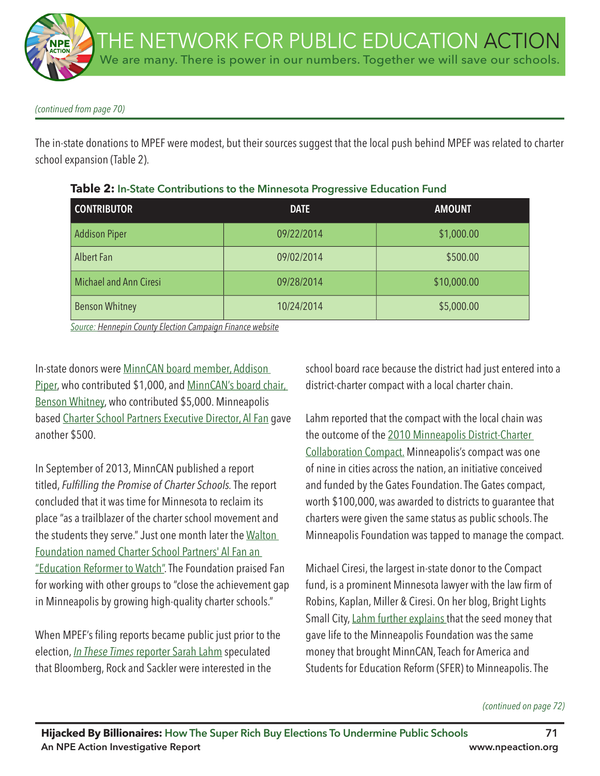*(continued from page 70)*

The in-state donations to MPEF were modest, but their sources suggest that the local push behind MPEF was related to charter school expansion (Table 2).

| <b>CONTRIBUTOR</b>     | <b>DATE</b> | <b>AMOUNT</b> |
|------------------------|-------------|---------------|
| <b>Addison Piper</b>   | 09/22/2014  | \$1,000.00    |
| Albert Fan             | 09/02/2014  | \$500.00      |
| Michael and Ann Ciresi | 09/28/2014  | \$10,000.00   |
| <b>Benson Whitney</b>  | 10/24/2014  | \$5,000.00    |

## **Table 2: In-State Contributions to the Minnesota Progressive Education Fund**

*Source: Hennepin County Election Campaign Finance website*

In-state donors were MinnCAN board member, Addison Piper, who contributed \$1,000, and MinnCAN's board chair, Benson Whitney, who contributed \$5,000. Minneapolis based Charter School Partners Executive Director, Al Fan gave another \$500.

In September of 2013, MinnCAN published a report titled, *Fulfilling the Promise of Charter Schools*. The report concluded that it was time for Minnesota to reclaim its place "as a trailblazer of the charter school movement and the students they serve." Just one month later the Walton Foundation named Charter School Partners' Al Fan an "Education Reformer to Watch". The Foundation praised Fan for working with other groups to "close the achievement gap in Minneapolis by growing high-quality charter schools."

When MPEF's fling reports became public just prior to the election, *In These Times* reporter Sarah Lahm speculated that Bloomberg, Rock and Sackler were interested in the

school board race because the district had just entered into a district-charter compact with a local charter chain.

Lahm reported that the compact with the local chain was the outcome of the 2010 Minneapolis District-Charter Collaboration Compact. Minneapolis's compact was one of nine in cities across the nation, an initiative conceived and funded by the Gates Foundation. The Gates compact, worth \$100,000, was awarded to districts to guarantee that charters were given the same status as public schools. The Minneapolis Foundation was tapped to manage the compact.

Michael Ciresi, the largest in-state donor to the Compact fund, is a prominent Minnesota lawyer with the law firm of Robins, Kaplan, Miller & Ciresi. On her blog, Bright Lights Small City, Lahm further explains that the seed money that gave life to the Minneapolis Foundation was the same money that brought MinnCAN, Teach for America and Students for Education Reform (SFER) to Minneapolis. The

#### *(continued on page 72)*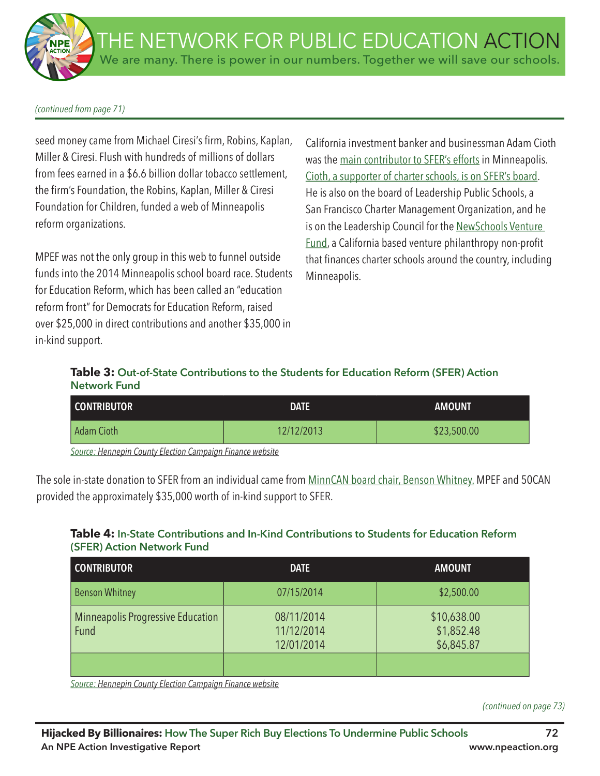### *(continued from page 71)*

seed money came from Michael Ciresi's firm, Robins, Kaplan, Miller & Ciresi. Flush with hundreds of millions of dollars from fees earned in a \$6.6 billion dollar tobacco settlement, the firm's Foundation, the Robins, Kaplan, Miller & Ciresi Foundation for Children, funded a web of Minneapolis reform organizations.

MPEF was not the only group in this web to funnel outside funds into the 2014 Minneapolis school board race. Students for Education Reform, which has been called an "education reform front" for Democrats for Education Reform, raised over \$25,000 in direct contributions and another \$35,000 in in-kind support.

California investment banker and businessman Adam Cioth was the main contributor to SFER's efforts in Minneapolis. Cioth, a supporter of charter schools, is on SFER's board. He is also on the board of Leadership Public Schools, a San Francisco Charter Management Organization, and he is on the Leadership Council for the NewSchools Venture Fund, a California based venture philanthropy non-profit that finances charter schools around the country, including Minneapolis.

## **Table 3: Out-of-State Contributions to the Students for Education Reform (SFER) Action Network Fund**

| <b>CONTRIBUTOR</b> | <b>DATE</b> | <b>AMOUNT</b> |
|--------------------|-------------|---------------|
| <b>Adam Cioth</b>  | 12/12/2013  | \$23,500.00   |

*Source: Hennepin County Election Campaign Finance website*

The sole in-state donation to SFER from an individual came from MinnCAN board chair, Benson Whitney. MPEF and 50CAN provided the approximately \$35,000 worth of in-kind support to SFER.

## **Table 4: In-State Contributions and In-Kind Contributions to Students for Education Reform (SFER) Action Network Fund**

| <b>CONTRIBUTOR</b>                        | <b>DATE</b>                            | <b>AMOUNT</b>                           |
|-------------------------------------------|----------------------------------------|-----------------------------------------|
| <b>Benson Whitney</b>                     | 07/15/2014                             | \$2,500.00                              |
| Minneapolis Progressive Education<br>Fund | 08/11/2014<br>11/12/2014<br>12/01/2014 | \$10,638.00<br>\$1,852.48<br>\$6,845.87 |
|                                           |                                        |                                         |

*Source: Hennepin County Election Campaign Finance website*

*(continued on page 73)*